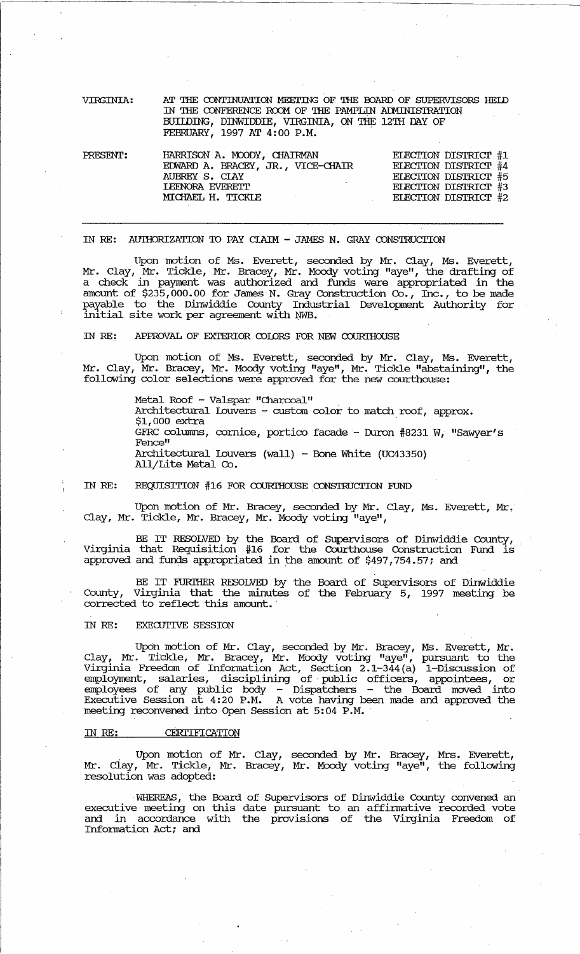| VIRGINIA: | AT THE CONTINUATION MEETING OF THE BOARD OF SUPERVISORS HELD |                                    |
|-----------|--------------------------------------------------------------|------------------------------------|
|           | IN THE CONFERENCE ROOM OF THE PAMPLIN ADMINISTRATION         |                                    |
|           | BUILDING, DINWIDDIE, VIRGINIA, ON THE 12TH DAY OF            |                                    |
|           | FEBRUARY, 1997 AT 4:00 P.M.                                  |                                    |
|           |                                                              |                                    |
| noromm.   | LIADDICONI 3 MOODU OLIATIMAM                                 | <b>LE MATCHINE TANGER IN THE T</b> |

| PRESENT: | HARRISON A. MOODY, CHAIRMAN       | ELECTION DISTRICT #1 |  |
|----------|-----------------------------------|----------------------|--|
|          | EDWARD A. BRACEY, JR., VICE-CHAIR | ELECTION DISTRICT #4 |  |
|          | AUBREY S. CLAY                    | ELECTION DISTRICT #5 |  |
|          | <b>LEENORA EVERETT</b>            | ELECTION DISTRICT #3 |  |
|          | MICHAEL H. TICKLE                 | ELECTION DISTRICT #2 |  |
|          |                                   |                      |  |

## IN RE: AUIHORIZATION TO PAY CIAIM - JAMES N. GRAY CONSTRUCTION

'Upon motion of Ms. Everett, seconded by Mr. Clay, Ms. Everett, Mr. Clay, Mr. Tickle, Mr. Bracey, Mr. Moody voting "aye", the drafting of a check in payment was authorized and funds were appropriated in the amount of  $$23\overline{5}$ ,000.00 for James N. Gray Construction  $C_2$ , Inc., to be made payable to the Dinwiddie County Industrial Development Authority for  $\frac{1}{2}$  initial site work per agreement with NWB.

IN RE: APPROVAL OF EXTERIOR COLORS FOR NEW COURIHOUSE

Upon motion of Ms. Everett, seconded by Mr. Clay, Ms. Everett, Mr. Clay, Mr. Bracey, Mr. Moody voting "aye", Mr. Tickle "abstaining", the following color selections were approved for the new courthouse:

> Metal Roof - Valspar "Charcoal" Architectural Louvers - custom color to match roof, approx.  $$1,000$  extra GFRC columns, cornice, portico facade - Duron #8231 W, "Sawyer's Fence" Architectural Louvers (wall) - Bone White (UC43350) All/Lite Metal Co.

IN RE: REQUISITION  $#16$  FOR COURTHOUSE CONSTRUCTION FUND

Upon motion of Mr. Bracey, seconded by Mr. Clay, Ms. Everett, Mr. Clay, Mr. Tickle, Mr. Bracey, Mr. Moody voting "aye",

BE IT RESOLVED by the Board of SUpervisors of Dinwiddie County, Virginia that Requisition #16 for the Courthouse Construction Fund is approved and funds appropriated in the amount of \$497,754.57; and

BE IT FURIHER RESOLVED by the Board of SUpervisors of Dinwiddie County, Virginia that the minutes of the February 5, 1997 meeting be corrected to reflect this amount.

## IN RE: EXECUTIVE SESSION

Upon motion of Mr. Clay, seconded by Mr. Bracey, Ms. Everett, Mr. Clay, Mr\_ Tickle, Mr. Bracey, Mr. Moody voting "aye", pursuant to the Virginia Freedom of Infonnation Act, Section 2.1-344 (a) i-Discussion of employment, salaries, disciplining of public officers, appointees, or employees of any public body - Dispatchers - the Board moved into Executive Session at 4:20 P.M. A vote having been made and approved the meeting reconvened into Open Session at 5:04 P.M.

## IN RE: CERITIFICATION

Upon motion of Mr. Clay, seconded by Mr. Bracey, Mrs. Everett, Mr. Clay, Mr. Tickle, Mr. Bracey, Mr. Moody voting "aye", the following resolution was adopted:

. WHEREAS, the Board of supervisors of Dinwiddie County convened an executive meeting on this date pursuant to an affirmative recorded vote and in accordance with the provisions of the Virginia Freedom of Information Act; and